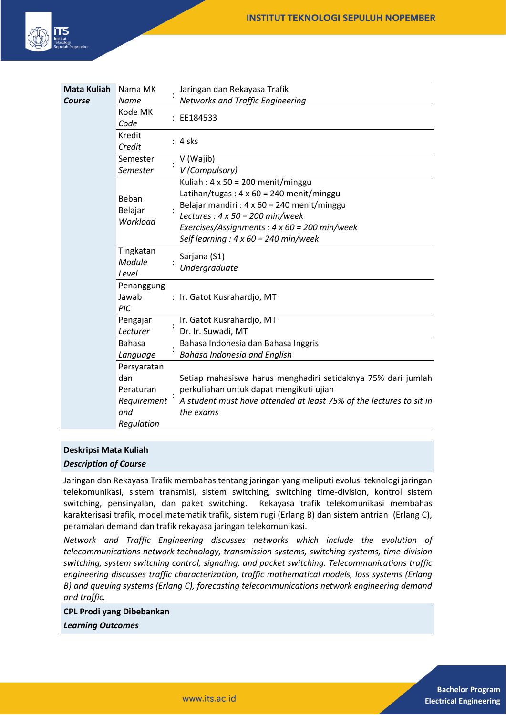

| <b>Mata Kuliah</b> | Nama MK                      | Jaringan dan Rekayasa Trafik                                        |
|--------------------|------------------------------|---------------------------------------------------------------------|
| Course             | <b>Name</b>                  | <b>Networks and Traffic Engineering</b>                             |
|                    | Kode MK<br>Code              | : EE184533                                                          |
|                    | Kredit<br>Credit             | $: 4$ sks                                                           |
|                    | Semester                     | V (Wajib)                                                           |
|                    | Semester                     | V (Compulsory)                                                      |
|                    | Beban<br>Belajar<br>Workload | Kuliah: $4 \times 50 = 200$ menit/minggu                            |
|                    |                              | Latihan/tugas: $4 \times 60 = 240$ menit/minggu                     |
|                    |                              | Belajar mandiri : $4 \times 60 = 240$ menit/minggu                  |
|                    |                              | Lectures : $4 \times 50 = 200$ min/week                             |
|                    |                              | Exercises/Assignments: $4 \times 60 = 200$ min/week                 |
|                    |                              | Self learning : $4 \times 60 = 240$ min/week                        |
|                    | Tingkatan<br>Module<br>Level | Sarjana (S1)<br>Undergraduate                                       |
|                    | Penanggung<br>Jawab<br>PIC   | : Ir. Gatot Kusrahardjo, MT                                         |
|                    | Pengajar                     | Ir. Gatot Kusrahardjo, MT                                           |
|                    | Lecturer                     | Dr. Ir. Suwadi, MT                                                  |
|                    | <b>Bahasa</b>                | Bahasa Indonesia dan Bahasa Inggris                                 |
|                    | Language                     | Bahasa Indonesia and English                                        |
|                    | Persyaratan                  |                                                                     |
|                    | dan                          | Setiap mahasiswa harus menghadiri setidaknya 75% dari jumlah        |
|                    | Peraturan                    | perkuliahan untuk dapat mengikuti ujian                             |
|                    | Requirement                  | A student must have attended at least 75% of the lectures to sit in |
|                    | and                          | the exams                                                           |
|                    | Regulation                   |                                                                     |

#### **Deskripsi Mata Kuliah**

#### *Description of Course*

Jaringan dan Rekayasa Trafik membahas tentang jaringan yang meliputi evolusi teknologi jaringan telekomunikasi, sistem transmisi, sistem switching, switching time-division, kontrol sistem switching, pensinyalan, dan paket switching. Rekayasa trafik telekomunikasi membahas karakterisasi trafik, model matematik trafik, sistem rugi (Erlang B) dan sistem antrian (Erlang C), peramalan demand dan trafik rekayasa jaringan telekomunikasi.

*Network and Traffic Engineering discusses networks which include the evolution of telecommunications network technology, transmission systems, switching systems, time-division switching, system switching control, signaling, and packet switching. Telecommunications traffic engineering discusses traffic characterization, traffic mathematical models, loss systems (Erlang B) and queuing systems (Erlang C), forecasting telecommunications network engineering demand and traffic.*

**CPL Prodi yang Dibebankan** *Learning Outcomes*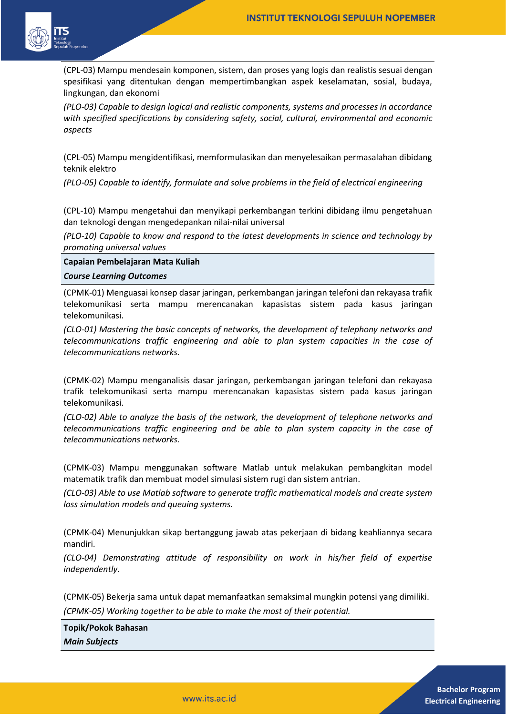

(CPL-03) Mampu mendesain komponen, sistem, dan proses yang logis dan realistis sesuai dengan spesifikasi yang ditentukan dengan mempertimbangkan aspek keselamatan, sosial, budaya, lingkungan, dan ekonomi

*(PLO-03) Capable to design logical and realistic components, systems and processes in accordance with specified specifications by considering safety, social, cultural, environmental and economic aspects*

(CPL-05) Mampu mengidentifikasi, memformulasikan dan menyelesaikan permasalahan dibidang teknik elektro

*(PLO-05) Capable to identify, formulate and solve problems in the field of electrical engineering*

(CPL-10) Mampu mengetahui dan menyikapi perkembangan terkini dibidang ilmu pengetahuan dan teknologi dengan mengedepankan nilai-nilai universal

*(PLO-10) Capable to know and respond to the latest developments in science and technology by promoting universal values*

**Capaian Pembelajaran Mata Kuliah**

*Course Learning Outcomes*

(CPMK-01) Menguasai konsep dasar jaringan, perkembangan jaringan telefoni dan rekayasa trafik telekomunikasi serta mampu merencanakan kapasistas sistem pada kasus jaringan telekomunikasi.

*(CLO-01) Mastering the basic concepts of networks, the development of telephony networks and telecommunications traffic engineering and able to plan system capacities in the case of telecommunications networks.*

(CPMK-02) Mampu menganalisis dasar jaringan, perkembangan jaringan telefoni dan rekayasa trafik telekomunikasi serta mampu merencanakan kapasistas sistem pada kasus jaringan telekomunikasi.

*(CLO-02) Able to analyze the basis of the network, the development of telephone networks and telecommunications traffic engineering and be able to plan system capacity in the case of telecommunications networks.*

(CPMK-03) Mampu menggunakan software Matlab untuk melakukan pembangkitan model matematik trafik dan membuat model simulasi sistem rugi dan sistem antrian.

*(CLO-03) Able to use Matlab software to generate traffic mathematical models and create system loss simulation models and queuing systems.*

(CPMK-04) Menunjukkan sikap bertanggung jawab atas pekerjaan di bidang keahliannya secara mandiri.

*(CLO-04) Demonstrating attitude of responsibility on work in his/her field of expertise independently.*

(CPMK-05) Bekerja sama untuk dapat memanfaatkan semaksimal mungkin potensi yang dimiliki. *(CPMK-05) Working together to be able to make the most of their potential.*

**Topik/Pokok Bahasan** *Main Subjects*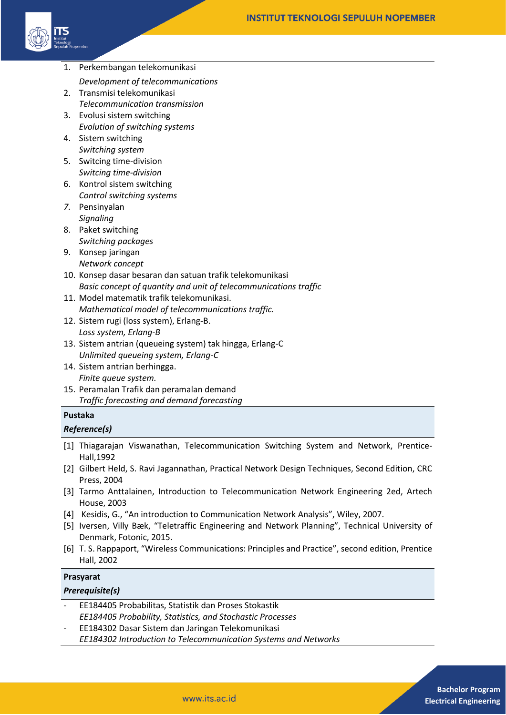

- 1. Perkembangan telekomunikasi
	- *Development of telecommunications*
- 2. Transmisi telekomunikasi *Telecommunication transmission*
- 3. Evolusi sistem switching *Evolution of switching systems*
- 4. Sistem switching *Switching system*
- 5. Switcing time-division *Switcing time-division*
- 6. Kontrol sistem switching *Control switching systems*
- *7.* Pensinyalan *Signaling*
- 8. Paket switching *Switching packages*
- 9. Konsep jaringan *Network concept*
- 10. Konsep dasar besaran dan satuan trafik telekomunikasi *Basic concept of quantity and unit of telecommunications traffic*
- 11. Model matematik trafik telekomunikasi. *Mathematical model of telecommunications traffic.*
- 12. Sistem rugi (loss system), Erlang-B. *Loss system, Erlang-B*
- 13. Sistem antrian (queueing system) tak hingga, Erlang-C *Unlimited queueing system, Erlang-C*
- 14. Sistem antrian berhingga. *Finite queue system.*
- 15. Peramalan Trafik dan peramalan demand *Traffic forecasting and demand forecasting*

# **Pustaka**

### *Reference(s)*

- [1] Thiagarajan Viswanathan, Telecommunication Switching System and Network, Prentice-Hall,1992
- [2] Gilbert Held, S. Ravi Jagannathan, Practical Network Design Techniques, Second Edition, CRC Press, 2004
- [3] Tarmo Anttalainen, Introduction to Telecommunication Network Engineering 2ed, Artech House, 2003
- [4] Kesidis, G., "An introduction to Communication Network Analysis", Wiley, 2007.
- [5] Iversen, Villy Bæk, "Teletraffic Engineering and Network Planning", Technical University of Denmark, Fotonic, 2015.
- [6] T. S. Rappaport, "Wireless Communications: Principles and Practice", second edition, Prentice Hall, 2002

### **Prasyarat**

## *Prerequisite(s)*

- EE184405 Probabilitas, Statistik dan Proses Stokastik *EE184405 Probability, Statistics, and Stochastic Processes*
- EE184302 Dasar Sistem dan Jaringan Telekomunikasi *EE184302 Introduction to Telecommunication Systems and Networks*